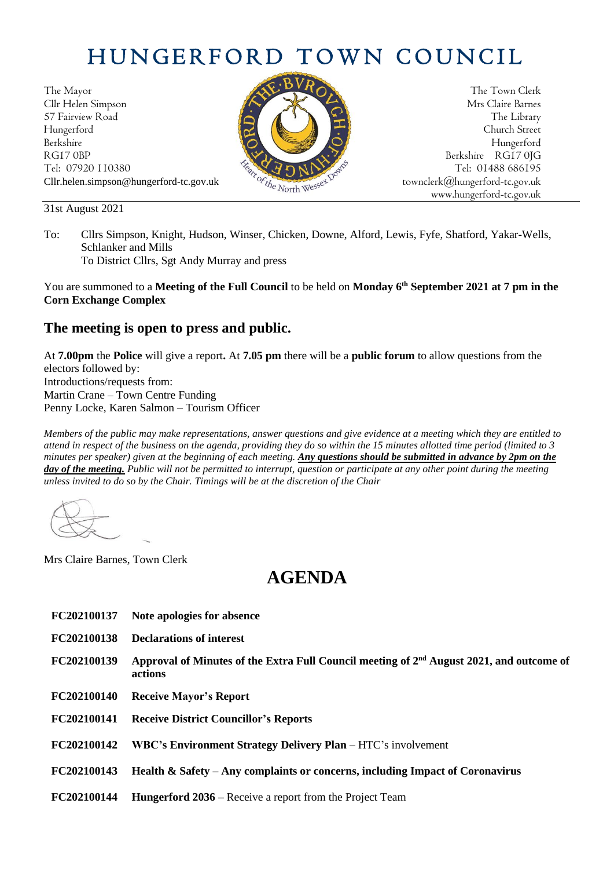## HUNGERFORD TOWN COUNCIL

The Mayor The Town Clerk Cllr Helen Simpson Mrs Claire Barnes 57 Fairview Road The Library (Contact of the Library Street Street (Contact of the Library Street Street Street Hungerford Church Street Berkshire Hungerford RG17 0BP Berkshire RG17 0JG Tel: 07920 110380 Tel: 07920 110380 Tel: 07920 110380 Tel: 01488 686195 Cllr.helen.simpson@hungerford-tc.gov.uk [townclerk@hungerford-tc.gov.uk](mailto:townclerk@hungerford-tc.gov.uk)

31st August 2021



www.hungerford-tc.gov.uk

To: Cllrs Simpson, Knight, Hudson, Winser, Chicken, Downe, Alford, Lewis, Fyfe, Shatford, Yakar-Wells, Schlanker and Mills To District Cllrs, Sgt Andy Murray and press

You are summoned to a **Meeting of the Full Council** to be held on **Monday 6 th September 2021 at 7 pm in the Corn Exchange Complex**

## **The meeting is open to press and public.**

At **7.00pm** the **Police** will give a report**.** At **7.05 pm** there will be a **public forum** to allow questions from the electors followed by: Introductions/requests from: Martin Crane – Town Centre Funding Penny Locke, Karen Salmon – Tourism Officer

*Members of the public may make representations, answer questions and give evidence at a meeting which they are entitled to attend in respect of the business on the agenda, providing they do so within the 15 minutes allotted time period (limited to 3 minutes per speaker) given at the beginning of each meeting. Any questions should be submitted in advance by 2pm on the day of the meeting. Public will not be permitted to interrupt, question or participate at any other point during the meeting unless invited to do so by the Chair. Timings will be at the discretion of the Chair*

Mrs Claire Barnes, Town Clerk

## **AGENDA**

- **FC202100137 Note apologies for absence**
- **FC202100138 Declarations of interest**

**FC202100139** Approval of Minutes of the Extra Full Council meeting of 2<sup>nd</sup> August 2021, and outcome of **actions**

- **FC202100140 Receive Mayor's Report**
- **FC202100141 Receive District Councillor's Reports**
- **FC202100142 WBC's Environment Strategy Delivery Plan –** HTC's involvement
- **FC202100143 Health & Safety – Any complaints or concerns, including Impact of Coronavirus**
- **FC202100144 Hungerford 2036 –** Receive a report from the Project Team